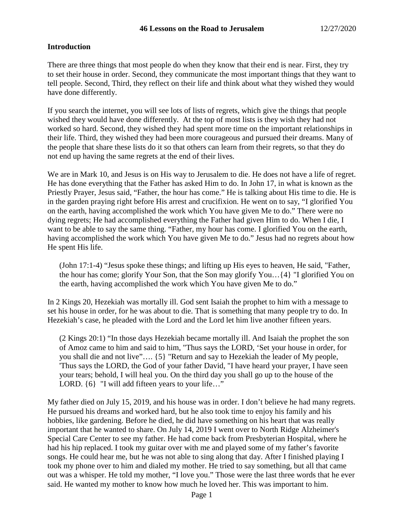## **Introduction**

There are three things that most people do when they know that their end is near. First, they try to set their house in order. Second, they communicate the most important things that they want to tell people. Second, Third, they reflect on their life and think about what they wished they would have done differently.

If you search the internet, you will see lots of lists of regrets, which give the things that people wished they would have done differently. At the top of most lists is they wish they had not worked so hard. Second, they wished they had spent more time on the important relationships in their life. Third, they wished they had been more courageous and pursued their dreams. Many of the people that share these lists do it so that others can learn from their regrets, so that they do not end up having the same regrets at the end of their lives.

We are in Mark 10, and Jesus is on His way to Jerusalem to die. He does not have a life of regret. He has done everything that the Father has asked Him to do. In John 17, in what is known as the Priestly Prayer, Jesus said, "Father, the hour has come." He is talking about His time to die. He is in the garden praying right before His arrest and crucifixion. He went on to say, "I glorified You on the earth, having accomplished the work which You have given Me to do." There were no dying regrets; He had accomplished everything the Father had given Him to do. When I die, I want to be able to say the same thing. "Father, my hour has come. I glorified You on the earth, having accomplished the work which You have given Me to do." Jesus had no regrets about how He spent His life.

(John 17:1-4) "Jesus spoke these things; and lifting up His eyes to heaven, He said, "Father, the hour has come; glorify Your Son, that the Son may glorify You…{4} "I glorified You on the earth, having accomplished the work which You have given Me to do."

In 2 Kings 20, Hezekiah was mortally ill. God sent Isaiah the prophet to him with a message to set his house in order, for he was about to die. That is something that many people try to do. In Hezekiah's case, he pleaded with the Lord and the Lord let him live another fifteen years.

(2 Kings 20:1) "In those days Hezekiah became mortally ill. And Isaiah the prophet the son of Amoz came to him and said to him, "Thus says the LORD, 'Set your house in order, for you shall die and not live"…. {5} "Return and say to Hezekiah the leader of My people, 'Thus says the LORD, the God of your father David, "I have heard your prayer, I have seen your tears; behold, I will heal you. On the third day you shall go up to the house of the LORD.  $\{6\}$  "I will add fifteen years to your life..."

My father died on July 15, 2019, and his house was in order. I don't believe he had many regrets. He pursued his dreams and worked hard, but he also took time to enjoy his family and his hobbies, like gardening. Before he died, he did have something on his heart that was really important that he wanted to share. On July 14, 2019 I went over to North Ridge Alzheimer's Special Care Center to see my father. He had come back from Presbyterian Hospital, where he had his hip replaced. I took my guitar over with me and played some of my father's favorite songs. He could hear me, but he was not able to sing along that day. After I finished playing I took my phone over to him and dialed my mother. He tried to say something, but all that came out was a whisper. He told my mother, "I love you." Those were the last three words that he ever said. He wanted my mother to know how much he loved her. This was important to him.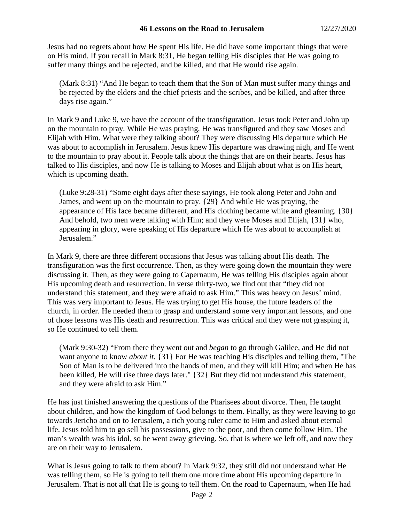Jesus had no regrets about how He spent His life. He did have some important things that were on His mind. If you recall in Mark 8:31, He began telling His disciples that He was going to suffer many things and be rejected, and be killed, and that He would rise again.

(Mark 8:31) "And He began to teach them that the Son of Man must suffer many things and be rejected by the elders and the chief priests and the scribes, and be killed, and after three days rise again."

In Mark 9 and Luke 9, we have the account of the transfiguration. Jesus took Peter and John up on the mountain to pray. While He was praying, He was transfigured and they saw Moses and Elijah with Him. What were they talking about? They were discussing His departure which He was about to accomplish in Jerusalem. Jesus knew His departure was drawing nigh, and He went to the mountain to pray about it. People talk about the things that are on their hearts. Jesus has talked to His disciples, and now He is talking to Moses and Elijah about what is on His heart, which is upcoming death.

(Luke 9:28-31) "Some eight days after these sayings, He took along Peter and John and James, and went up on the mountain to pray. {29} And while He was praying, the appearance of His face became different, and His clothing became white and gleaming. {30} And behold, two men were talking with Him; and they were Moses and Elijah, {31} who, appearing in glory, were speaking of His departure which He was about to accomplish at Jerusalem."

In Mark 9, there are three different occasions that Jesus was talking about His death. The transfiguration was the first occurrence. Then, as they were going down the mountain they were discussing it. Then, as they were going to Capernaum, He was telling His disciples again about His upcoming death and resurrection. In verse thirty-two, we find out that "they did not understand this statement, and they were afraid to ask Him." This was heavy on Jesus' mind. This was very important to Jesus. He was trying to get His house, the future leaders of the church, in order. He needed them to grasp and understand some very important lessons, and one of those lessons was His death and resurrection. This was critical and they were not grasping it, so He continued to tell them.

(Mark 9:30-32) "From there they went out and *began* to go through Galilee, and He did not want anyone to know *about it.* {31} For He was teaching His disciples and telling them, "The Son of Man is to be delivered into the hands of men, and they will kill Him; and when He has been killed, He will rise three days later." {32} But they did not understand *this* statement, and they were afraid to ask Him."

He has just finished answering the questions of the Pharisees about divorce. Then, He taught about children, and how the kingdom of God belongs to them. Finally, as they were leaving to go towards Jericho and on to Jerusalem, a rich young ruler came to Him and asked about eternal life. Jesus told him to go sell his possessions, give to the poor, and then come follow Him. The man's wealth was his idol, so he went away grieving. So, that is where we left off, and now they are on their way to Jerusalem.

What is Jesus going to talk to them about? In Mark 9:32, they still did not understand what He was telling them, so He is going to tell them one more time about His upcoming departure in Jerusalem. That is not all that He is going to tell them. On the road to Capernaum, when He had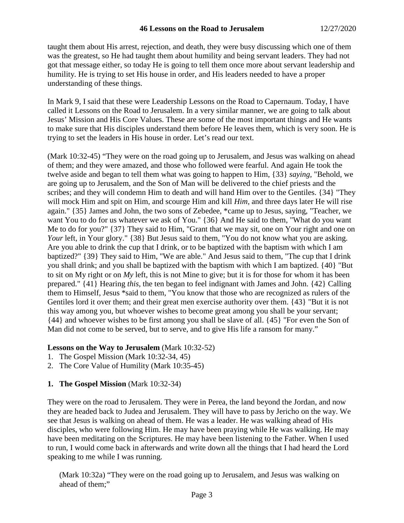taught them about His arrest, rejection, and death, they were busy discussing which one of them was the greatest, so He had taught them about humility and being servant leaders. They had not got that message either, so today He is going to tell them once more about servant leadership and humility. He is trying to set His house in order, and His leaders needed to have a proper understanding of these things.

In Mark 9, I said that these were Leadership Lessons on the Road to Capernaum. Today, I have called it Lessons on the Road to Jerusalem. In a very similar manner, we are going to talk about Jesus' Mission and His Core Values. These are some of the most important things and He wants to make sure that His disciples understand them before He leaves them, which is very soon. He is trying to set the leaders in His house in order. Let's read our text.

(Mark 10:32-45) "They were on the road going up to Jerusalem, and Jesus was walking on ahead of them; and they were amazed, and those who followed were fearful. And again He took the twelve aside and began to tell them what was going to happen to Him, {33} *saying,* "Behold, we are going up to Jerusalem, and the Son of Man will be delivered to the chief priests and the scribes; and they will condemn Him to death and will hand Him over to the Gentiles. {34} "They will mock Him and spit on Him, and scourge Him and kill *Him,* and three days later He will rise again." {35} James and John, the two sons of Zebedee, \*came up to Jesus, saying, "Teacher, we want You to do for us whatever we ask of You." {36} And He said to them, "What do you want Me to do for you?" {37} They said to Him, "Grant that we may sit, one on Your right and one on *Your* left, in Your glory." {38} But Jesus said to them, "You do not know what you are asking. Are you able to drink the cup that I drink, or to be baptized with the baptism with which I am baptized?" {39} They said to Him, "We are able." And Jesus said to them, "The cup that I drink you shall drink; and you shall be baptized with the baptism with which I am baptized. {40} "But to sit on My right or on *My* left, this is not Mine to give; but it is for those for whom it has been prepared." {41} Hearing *this,* the ten began to feel indignant with James and John. {42} Calling them to Himself, Jesus \*said to them, "You know that those who are recognized as rulers of the Gentiles lord it over them; and their great men exercise authority over them. {43} "But it is not this way among you, but whoever wishes to become great among you shall be your servant; {44} and whoever wishes to be first among you shall be slave of all. {45} "For even the Son of Man did not come to be served, but to serve, and to give His life a ransom for many."

#### **Lessons on the Way to Jerusalem** (Mark 10:32-52)

- 1. The Gospel Mission (Mark 10:32-34, 45)
- 2. The Core Value of Humility (Mark 10:35-45)

#### **1. The Gospel Mission** (Mark 10:32-34)

They were on the road to Jerusalem. They were in Perea, the land beyond the Jordan, and now they are headed back to Judea and Jerusalem. They will have to pass by Jericho on the way. We see that Jesus is walking on ahead of them. He was a leader. He was walking ahead of His disciples, who were following Him. He may have been praying while He was walking. He may have been meditating on the Scriptures. He may have been listening to the Father. When I used to run, I would come back in afterwards and write down all the things that I had heard the Lord speaking to me while I was running.

(Mark 10:32a) "They were on the road going up to Jerusalem, and Jesus was walking on ahead of them;"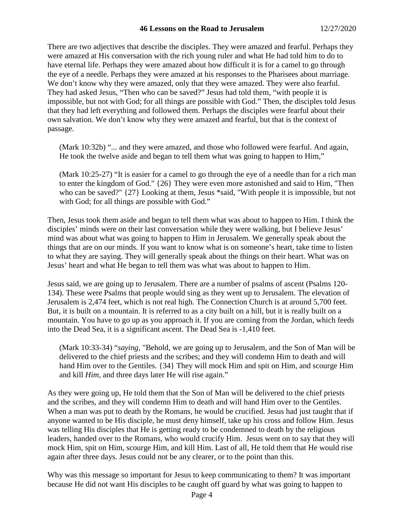There are two adjectives that describe the disciples. They were amazed and fearful. Perhaps they were amazed at His conversation with the rich young ruler and what He had told him to do to have eternal life. Perhaps they were amazed about how difficult it is for a camel to go through the eye of a needle. Perhaps they were amazed at his responses to the Pharisees about marriage. We don't know why they were amazed, only that they were amazed. They were also fearful. They had asked Jesus, "Then who can be saved?" Jesus had told them, "with people it is impossible, but not with God; for all things are possible with God." Then, the disciples told Jesus that they had left everything and followed them. Perhaps the disciples were fearful about their own salvation. We don't know why they were amazed and fearful, but that is the context of passage.

(Mark 10:32b) "... and they were amazed, and those who followed were fearful. And again, He took the twelve aside and began to tell them what was going to happen to Him,"

(Mark 10:25-27) "It is easier for a camel to go through the eye of a needle than for a rich man to enter the kingdom of God." {26} They were even more astonished and said to Him, "Then who can be saved?"  $\{27\}$  Looking at them, Jesus \*said, "With people it is impossible, but not with God; for all things are possible with God."

Then, Jesus took them aside and began to tell them what was about to happen to Him. I think the disciples' minds were on their last conversation while they were walking, but I believe Jesus' mind was about what was going to happen to Him in Jerusalem. We generally speak about the things that are on our minds. If you want to know what is on someone's heart, take time to listen to what they are saying. They will generally speak about the things on their heart. What was on Jesus' heart and what He began to tell them was what was about to happen to Him.

Jesus said, we are going up to Jerusalem. There are a number of psalms of ascent (Psalms 120- 134). These were Psalms that people would sing as they went up to Jerusalem. The elevation of Jerusalem is 2,474 feet, which is not real high. The Connection Church is at around 5,700 feet. But, it is built on a mountain. It is referred to as a city built on a hill, but it is really built on a mountain. You have to go up as you approach it. If you are coming from the Jordan, which feeds into the Dead Sea, it is a significant ascent. The Dead Sea is -1,410 feet.

(Mark 10:33-34) "*saying,* "Behold, we are going up to Jerusalem, and the Son of Man will be delivered to the chief priests and the scribes; and they will condemn Him to death and will hand Him over to the Gentiles. {34} They will mock Him and spit on Him, and scourge Him and kill *Him,* and three days later He will rise again."

As they were going up, He told them that the Son of Man will be delivered to the chief priests and the scribes, and they will condemn Him to death and will hand Him over to the Gentiles. When a man was put to death by the Romans, he would be crucified. Jesus had just taught that if anyone wanted to be His disciple, he must deny himself, take up his cross and follow Him. Jesus was telling His disciples that He is getting ready to be condemned to death by the religious leaders, handed over to the Romans, who would crucify Him. Jesus went on to say that they will mock Him, spit on Him, scourge Him, and kill Him. Last of all, He told them that He would rise again after three days. Jesus could not be any clearer, or to the point than this.

Why was this message so important for Jesus to keep communicating to them? It was important because He did not want His disciples to be caught off guard by what was going to happen to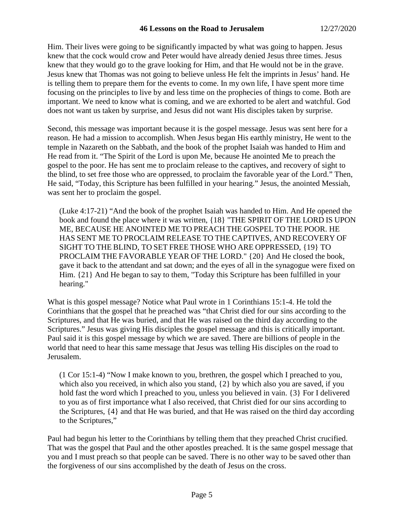Him. Their lives were going to be significantly impacted by what was going to happen. Jesus knew that the cock would crow and Peter would have already denied Jesus three times. Jesus knew that they would go to the grave looking for Him, and that He would not be in the grave. Jesus knew that Thomas was not going to believe unless He felt the imprints in Jesus' hand. He is telling them to prepare them for the events to come. In my own life, I have spent more time focusing on the principles to live by and less time on the prophecies of things to come. Both are important. We need to know what is coming, and we are exhorted to be alert and watchful. God does not want us taken by surprise, and Jesus did not want His disciples taken by surprise.

Second, this message was important because it is the gospel message. Jesus was sent here for a reason. He had a mission to accomplish. When Jesus began His earthly ministry, He went to the temple in Nazareth on the Sabbath, and the book of the prophet Isaiah was handed to Him and He read from it. "The Spirit of the Lord is upon Me, because He anointed Me to preach the gospel to the poor. He has sent me to proclaim release to the captives, and recovery of sight to the blind, to set free those who are oppressed, to proclaim the favorable year of the Lord." Then, He said, "Today, this Scripture has been fulfilled in your hearing." Jesus, the anointed Messiah, was sent her to proclaim the gospel.

(Luke 4:17-21) "And the book of the prophet Isaiah was handed to Him. And He opened the book and found the place where it was written, {18} "THE SPIRIT OF THE LORD IS UPON ME, BECAUSE HE ANOINTED ME TO PREACH THE GOSPEL TO THE POOR. HE HAS SENT ME TO PROCLAIM RELEASE TO THE CAPTIVES, AND RECOVERY OF SIGHT TO THE BLIND, TO SET FREE THOSE WHO ARE OPPRESSED, {19} TO PROCLAIM THE FAVORABLE YEAR OF THE LORD." {20} And He closed the book, gave it back to the attendant and sat down; and the eyes of all in the synagogue were fixed on Him. {21} And He began to say to them, "Today this Scripture has been fulfilled in your hearing."

What is this gospel message? Notice what Paul wrote in 1 Corinthians 15:1-4. He told the Corinthians that the gospel that he preached was "that Christ died for our sins according to the Scriptures, and that He was buried, and that He was raised on the third day according to the Scriptures." Jesus was giving His disciples the gospel message and this is critically important. Paul said it is this gospel message by which we are saved. There are billions of people in the world that need to hear this same message that Jesus was telling His disciples on the road to Jerusalem.

(1 Cor 15:1-4) "Now I make known to you, brethren, the gospel which I preached to you, which also you received, in which also you stand, {2} by which also you are saved, if you hold fast the word which I preached to you, unless you believed in vain. {3} For I delivered to you as of first importance what I also received, that Christ died for our sins according to the Scriptures, {4} and that He was buried, and that He was raised on the third day according to the Scriptures,"

Paul had begun his letter to the Corinthians by telling them that they preached Christ crucified. That was the gospel that Paul and the other apostles preached. It is the same gospel message that you and I must preach so that people can be saved. There is no other way to be saved other than the forgiveness of our sins accomplished by the death of Jesus on the cross.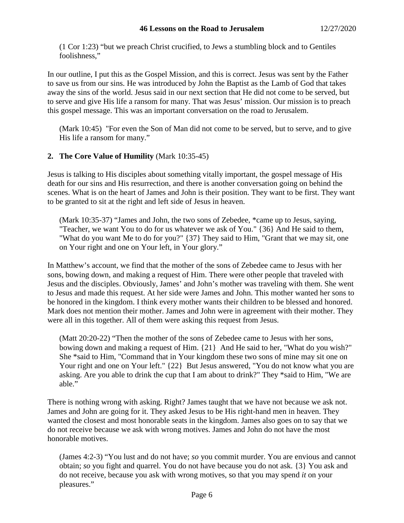(1 Cor 1:23) "but we preach Christ crucified, to Jews a stumbling block and to Gentiles foolishness,"

In our outline, I put this as the Gospel Mission, and this is correct. Jesus was sent by the Father to save us from our sins. He was introduced by John the Baptist as the Lamb of God that takes away the sins of the world. Jesus said in our next section that He did not come to be served, but to serve and give His life a ransom for many. That was Jesus' mission. Our mission is to preach this gospel message. This was an important conversation on the road to Jerusalem.

(Mark 10:45) "For even the Son of Man did not come to be served, but to serve, and to give His life a ransom for many."

## **2. The Core Value of Humility** (Mark 10:35-45)

Jesus is talking to His disciples about something vitally important, the gospel message of His death for our sins and His resurrection, and there is another conversation going on behind the scenes. What is on the heart of James and John is their position. They want to be first. They want to be granted to sit at the right and left side of Jesus in heaven.

(Mark 10:35-37) "James and John, the two sons of Zebedee, \*came up to Jesus, saying, "Teacher, we want You to do for us whatever we ask of You." {36} And He said to them, "What do you want Me to do for you?" {37} They said to Him, "Grant that we may sit, one on Your right and one on Your left, in Your glory."

In Matthew's account, we find that the mother of the sons of Zebedee came to Jesus with her sons, bowing down, and making a request of Him. There were other people that traveled with Jesus and the disciples. Obviously, James' and John's mother was traveling with them. She went to Jesus and made this request. At her side were James and John. This mother wanted her sons to be honored in the kingdom. I think every mother wants their children to be blessed and honored. Mark does not mention their mother. James and John were in agreement with their mother. They were all in this together. All of them were asking this request from Jesus.

(Matt 20:20-22) "Then the mother of the sons of Zebedee came to Jesus with her sons, bowing down and making a request of Him. {21} And He said to her, "What do you wish?" She \*said to Him, "Command that in Your kingdom these two sons of mine may sit one on Your right and one on Your left." {22} But Jesus answered, "You do not know what you are asking. Are you able to drink the cup that I am about to drink?" They \*said to Him, "We are able."

There is nothing wrong with asking. Right? James taught that we have not because we ask not. James and John are going for it. They asked Jesus to be His right-hand men in heaven. They wanted the closest and most honorable seats in the kingdom. James also goes on to say that we do not receive because we ask with wrong motives. James and John do not have the most honorable motives.

(James 4:2-3) "You lust and do not have; *so* you commit murder. You are envious and cannot obtain; *so* you fight and quarrel. You do not have because you do not ask. {3} You ask and do not receive, because you ask with wrong motives, so that you may spend *it* on your pleasures."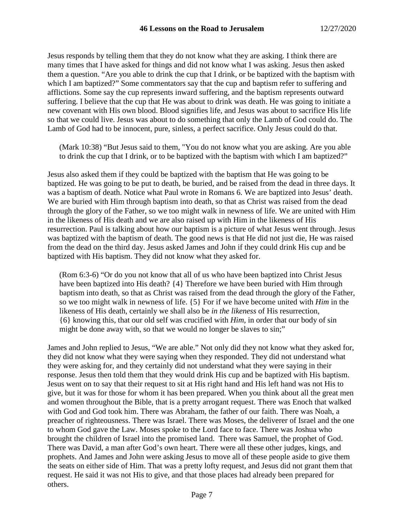Jesus responds by telling them that they do not know what they are asking. I think there are many times that I have asked for things and did not know what I was asking. Jesus then asked them a question. "Are you able to drink the cup that I drink, or be baptized with the baptism with which I am baptized?" Some commentators say that the cup and baptism refer to suffering and afflictions. Some say the cup represents inward suffering, and the baptism represents outward suffering. I believe that the cup that He was about to drink was death. He was going to initiate a new covenant with His own blood. Blood signifies life, and Jesus was about to sacrifice His life so that we could live. Jesus was about to do something that only the Lamb of God could do. The Lamb of God had to be innocent, pure, sinless, a perfect sacrifice. Only Jesus could do that.

(Mark 10:38) "But Jesus said to them, "You do not know what you are asking. Are you able to drink the cup that I drink, or to be baptized with the baptism with which I am baptized?"

Jesus also asked them if they could be baptized with the baptism that He was going to be baptized. He was going to be put to death, be buried, and be raised from the dead in three days. It was a baptism of death. Notice what Paul wrote in Romans 6. We are baptized into Jesus' death. We are buried with Him through baptism into death, so that as Christ was raised from the dead through the glory of the Father, so we too might walk in newness of life. We are united with Him in the likeness of His death and we are also raised up with Him in the likeness of His resurrection. Paul is talking about how our baptism is a picture of what Jesus went through. Jesus was baptized with the baptism of death. The good news is that He did not just die, He was raised from the dead on the third day. Jesus asked James and John if they could drink His cup and be baptized with His baptism. They did not know what they asked for.

(Rom 6:3-6) "Or do you not know that all of us who have been baptized into Christ Jesus have been baptized into His death? {4} Therefore we have been buried with Him through baptism into death, so that as Christ was raised from the dead through the glory of the Father, so we too might walk in newness of life. {5} For if we have become united with *Him* in the likeness of His death, certainly we shall also be *in the likeness* of His resurrection, {6} knowing this, that our old self was crucified with *Him,* in order that our body of sin might be done away with, so that we would no longer be slaves to sin;"

James and John replied to Jesus, "We are able." Not only did they not know what they asked for, they did not know what they were saying when they responded. They did not understand what they were asking for, and they certainly did not understand what they were saying in their response. Jesus then told them that they would drink His cup and be baptized with His baptism. Jesus went on to say that their request to sit at His right hand and His left hand was not His to give, but it was for those for whom it has been prepared. When you think about all the great men and women throughout the Bible, that is a pretty arrogant request. There was Enoch that walked with God and God took him. There was Abraham, the father of our faith. There was Noah, a preacher of righteousness. There was Israel. There was Moses, the deliverer of Israel and the one to whom God gave the Law. Moses spoke to the Lord face to face. There was Joshua who brought the children of Israel into the promised land. There was Samuel, the prophet of God. There was David, a man after God's own heart. There were all these other judges, kings, and prophets. And James and John were asking Jesus to move all of these people aside to give them the seats on either side of Him. That was a pretty lofty request, and Jesus did not grant them that request. He said it was not His to give, and that those places had already been prepared for others.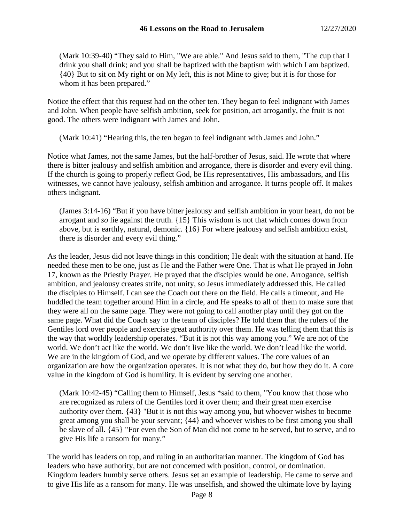(Mark 10:39-40) "They said to Him, "We are able." And Jesus said to them, "The cup that I drink you shall drink; and you shall be baptized with the baptism with which I am baptized. {40} But to sit on My right or on My left, this is not Mine to give; but it is for those for whom it has been prepared."

Notice the effect that this request had on the other ten. They began to feel indignant with James and John. When people have selfish ambition, seek for position, act arrogantly, the fruit is not good. The others were indignant with James and John.

(Mark 10:41) "Hearing this, the ten began to feel indignant with James and John."

Notice what James, not the same James, but the half-brother of Jesus, said. He wrote that where there is bitter jealousy and selfish ambition and arrogance, there is disorder and every evil thing. If the church is going to properly reflect God, be His representatives, His ambassadors, and His witnesses, we cannot have jealousy, selfish ambition and arrogance. It turns people off. It makes others indignant.

(James 3:14-16) "But if you have bitter jealousy and selfish ambition in your heart, do not be arrogant and *so* lie against the truth. {15} This wisdom is not that which comes down from above, but is earthly, natural, demonic. {16} For where jealousy and selfish ambition exist, there is disorder and every evil thing."

As the leader, Jesus did not leave things in this condition; He dealt with the situation at hand. He needed these men to be one, just as He and the Father were One. That is what He prayed in John 17, known as the Priestly Prayer. He prayed that the disciples would be one. Arrogance, selfish ambition, and jealousy creates strife, not unity, so Jesus immediately addressed this. He called the disciples to Himself. I can see the Coach out there on the field. He calls a timeout, and He huddled the team together around Him in a circle, and He speaks to all of them to make sure that they were all on the same page. They were not going to call another play until they got on the same page. What did the Coach say to the team of disciples? He told them that the rulers of the Gentiles lord over people and exercise great authority over them. He was telling them that this is the way that worldly leadership operates. "But it is not this way among you." We are not of the world. We don't act like the world. We don't live like the world. We don't lead like the world. We are in the kingdom of God, and we operate by different values. The core values of an organization are how the organization operates. It is not what they do, but how they do it. A core value in the kingdom of God is humility. It is evident by serving one another.

(Mark 10:42-45) "Calling them to Himself, Jesus \*said to them, "You know that those who are recognized as rulers of the Gentiles lord it over them; and their great men exercise authority over them. {43} "But it is not this way among you, but whoever wishes to become great among you shall be your servant; {44} and whoever wishes to be first among you shall be slave of all. {45} "For even the Son of Man did not come to be served, but to serve, and to give His life a ransom for many."

The world has leaders on top, and ruling in an authoritarian manner. The kingdom of God has leaders who have authority, but are not concerned with position, control, or domination. Kingdom leaders humbly serve others. Jesus set an example of leadership. He came to serve and to give His life as a ransom for many. He was unselfish, and showed the ultimate love by laying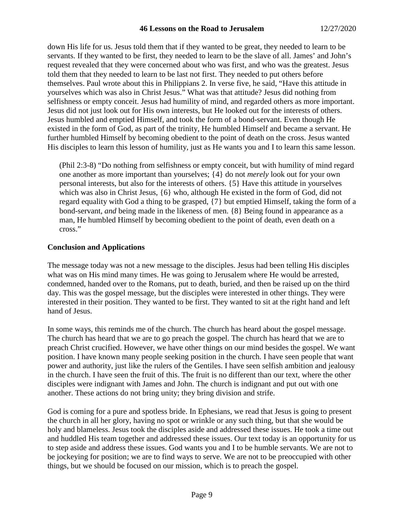down His life for us. Jesus told them that if they wanted to be great, they needed to learn to be servants. If they wanted to be first, they needed to learn to be the slave of all. James' and John's request revealed that they were concerned about who was first, and who was the greatest. Jesus told them that they needed to learn to be last not first. They needed to put others before themselves. Paul wrote about this in Philippians 2. In verse five, he said, "Have this attitude in yourselves which was also in Christ Jesus." What was that attitude? Jesus did nothing from selfishness or empty conceit. Jesus had humility of mind, and regarded others as more important. Jesus did not just look out for His own interests, but He looked out for the interests of others. Jesus humbled and emptied Himself, and took the form of a bond-servant. Even though He existed in the form of God, as part of the trinity, He humbled Himself and became a servant. He further humbled Himself by becoming obedient to the point of death on the cross. Jesus wanted His disciples to learn this lesson of humility, just as He wants you and I to learn this same lesson.

(Phil 2:3-8) "Do nothing from selfishness or empty conceit, but with humility of mind regard one another as more important than yourselves; {4} do not *merely* look out for your own personal interests, but also for the interests of others. {5} Have this attitude in yourselves which was also in Christ Jesus, {6} who, although He existed in the form of God, did not regard equality with God a thing to be grasped, {7} but emptied Himself, taking the form of a bond-servant, *and* being made in the likeness of men. {8} Being found in appearance as a man, He humbled Himself by becoming obedient to the point of death, even death on a cross."

# **Conclusion and Applications**

The message today was not a new message to the disciples. Jesus had been telling His disciples what was on His mind many times. He was going to Jerusalem where He would be arrested, condemned, handed over to the Romans, put to death, buried, and then be raised up on the third day. This was the gospel message, but the disciples were interested in other things. They were interested in their position. They wanted to be first. They wanted to sit at the right hand and left hand of Jesus.

In some ways, this reminds me of the church. The church has heard about the gospel message. The church has heard that we are to go preach the gospel. The church has heard that we are to preach Christ crucified. However, we have other things on our mind besides the gospel. We want position. I have known many people seeking position in the church. I have seen people that want power and authority, just like the rulers of the Gentiles. I have seen selfish ambition and jealousy in the church. I have seen the fruit of this. The fruit is no different than our text, where the other disciples were indignant with James and John. The church is indignant and put out with one another. These actions do not bring unity; they bring division and strife.

God is coming for a pure and spotless bride. In Ephesians, we read that Jesus is going to present the church in all her glory, having no spot or wrinkle or any such thing, but that she would be holy and blameless. Jesus took the disciples aside and addressed these issues. He took a time out and huddled His team together and addressed these issues. Our text today is an opportunity for us to step aside and address these issues. God wants you and I to be humble servants. We are not to be jockeying for position; we are to find ways to serve. We are not to be preoccupied with other things, but we should be focused on our mission, which is to preach the gospel.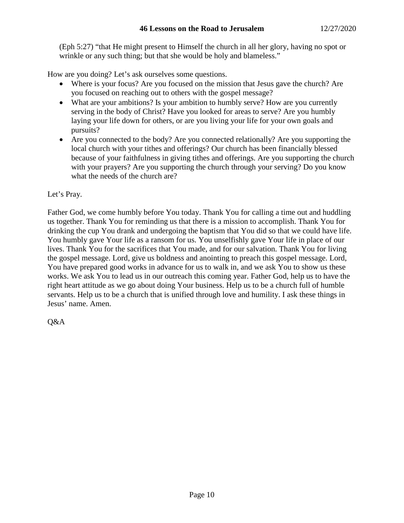(Eph 5:27) "that He might present to Himself the church in all her glory, having no spot or wrinkle or any such thing; but that she would be holy and blameless."

How are you doing? Let's ask ourselves some questions.

- Where is your focus? Are you focused on the mission that Jesus gave the church? Are you focused on reaching out to others with the gospel message?
- What are your ambitions? Is your ambition to humbly serve? How are you currently serving in the body of Christ? Have you looked for areas to serve? Are you humbly laying your life down for others, or are you living your life for your own goals and pursuits?
- Are you connected to the body? Are you connected relationally? Are you supporting the local church with your tithes and offerings? Our church has been financially blessed because of your faithfulness in giving tithes and offerings. Are you supporting the church with your prayers? Are you supporting the church through your serving? Do you know what the needs of the church are?

## Let's Pray.

Father God, we come humbly before You today. Thank You for calling a time out and huddling us together. Thank You for reminding us that there is a mission to accomplish. Thank You for drinking the cup You drank and undergoing the baptism that You did so that we could have life. You humbly gave Your life as a ransom for us. You unselfishly gave Your life in place of our lives. Thank You for the sacrifices that You made, and for our salvation. Thank You for living the gospel message. Lord, give us boldness and anointing to preach this gospel message. Lord, You have prepared good works in advance for us to walk in, and we ask You to show us these works. We ask You to lead us in our outreach this coming year. Father God, help us to have the right heart attitude as we go about doing Your business. Help us to be a church full of humble servants. Help us to be a church that is unified through love and humility. I ask these things in Jesus' name. Amen.

Q&A